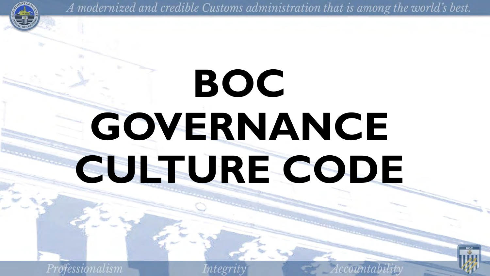

# **BOC GOVERNANCE CULTURE CODE**

Professionalism

Integri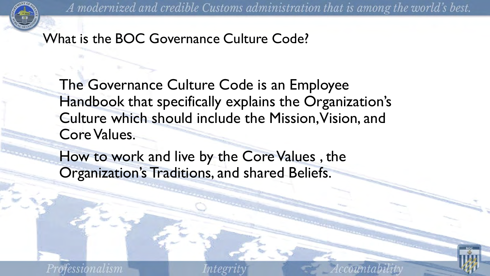

What is the BOC Governance Culture Code?

The Governance Culture Code is an Employee Handbook that specifically explains the Organization's Culture which should include the Mission, Vision, and Core Values.

How to work and live by the Core Values , the Organization's Traditions, and shared Beliefs.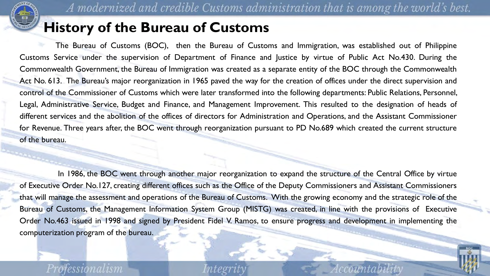

### **History of the Bureau of Customs**

 The Bureau of Customs (BOC), then the Bureau of Customs and Immigration, was established out of Philippine Customs Service under the supervision of Department of Finance and Justice by virtue of Public Act No.430. During the Commonwealth Government, the Bureau of Immigration was created as a separate entity of the BOC through the Commonwealth Act No. 613. The Bureau's major reorganization in 1965 paved the way for the creation of offices under the direct supervision and control of the Commissioner of Customs which were later transformed into the following departments: Public Relations, Personnel, Legal, Administrative Service, Budget and Finance, and Management Improvement. This resulted to the designation of heads of different services and the abolition of the offices of directors for Administration and Operations, and the Assistant Commissioner for Revenue. Three years after, the BOC went through reorganization pursuant to PD No.689 which created the current structure of the bureau.

In 1986, the BOC went through another major reorganization to expand the structure of the Central Office by virtue of Executive Order No.127, creating different offices such as the Office of the Deputy Commissioners and Assistant Commissioners that will manage the assessment and operations of the Bureau of Customs. With the growing economy and the strategic role of the Bureau of Customs, the Management Information System Group (MISTG) was created, in line with the provisions of Executive Order No.463 issued in 1998 and signed by President Fidel V. Ramos, to ensure progress and development in implementing the computerization program of the bureau.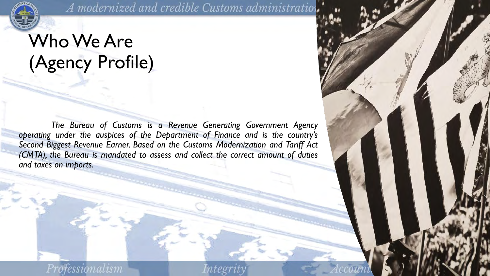

A modernized and credible Customs administration,

## Who We Are (Agency Profile)

 *The Bureau of Customs is a Revenue Generating Government Agency operating under the auspices of the Department of Finance and is the country's Second Biggest Revenue Earner. Based on the Customs Modernization and Tariff Act (CMTA), the Bureau is mandated to assess and collect the correct amount of duties and taxes on imports.*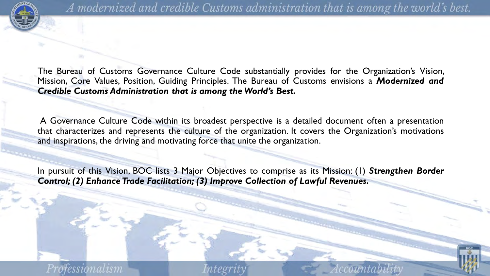

The Bureau of Customs Governance Culture Code substantially provides for the Organization's Vision, Mission, Core Values, Position, Guiding Principles. The Bureau of Customs envisions a *Modernized and Credible Customs Administration that is among the World's Best.* 

A Governance Culture Code within its broadest perspective is a detailed document often a presentation that characterizes and represents the culture of the organization. It covers the Organization's motivations and inspirations, the driving and motivating force that unite the organization.

In pursuit of this Vision, BOC lists 3 Major Objectives to comprise as its Mission: (1) *Strengthen Border Control; (2) Enhance Trade Facilitation; (3) Improve Collection of Lawful Revenues.*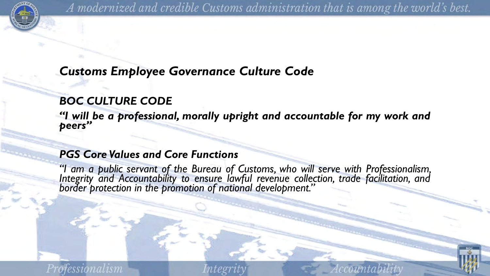

#### *Customs Employee Governance Culture Code*

#### *BOC CULTURE CODE*

*"I will be a professional, morally upright and accountable for my work and peers"*

#### *PGS Core Values and Core Functions*

*"I am a public servant of the Bureau of Customs, who will serve with Professionalism, Integrity and Accountability to ensure lawful revenue collection, trade facilitation, and border protection in the promotion of national development."*

teor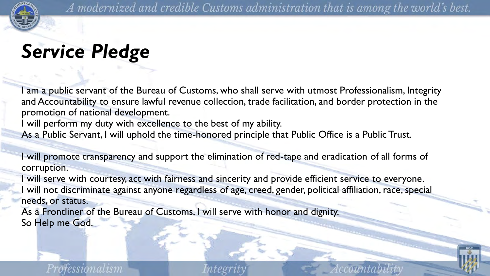

## *Service Pledge*

I am a public servant of the Bureau of Customs, who shall serve with utmost Professionalism, Integrity and Accountability to ensure lawful revenue collection, trade facilitation, and border protection in the promotion of national development.

I will perform my duty with excellence to the best of my ability.

As a Public Servant, I will uphold the time-honored principle that Public Office is a Public Trust.

I will promote transparency and support the elimination of red-tape and eradication of all forms of corruption.

I will serve with courtesy, act with fairness and sincerity and provide efficient service to everyone. will not discriminate against anyone regardless of age, creed, gender, political affiliation, race, special needs, or status.

As a Frontliner of the Bureau of Customs, I will serve with honor and dignity. So Help me God.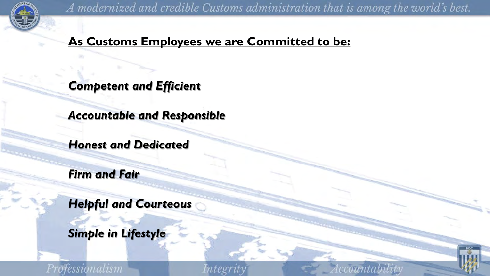

#### **As Customs Employees we are Committed to be:**

*Competent and Efficient* 

*Accountable and Responsible* 

*Honest and Dedicated* 

*Firm and Fair* 

*Helpful and Courteous* 

*Simple in Lifestyle* 

Professionalism

Integrit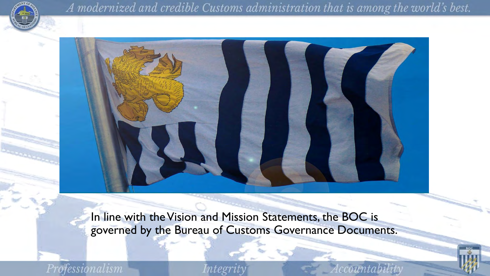



In line with the Vision and Mission Statements, the BOC is governed by the Bureau of Customs Governance Documents.

Professionalism

ntegri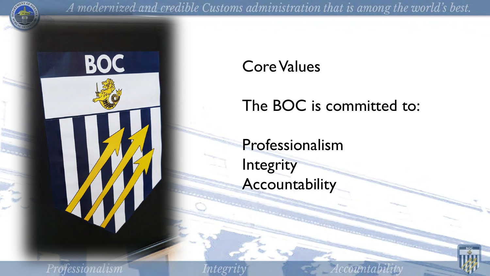



Core Values

The BOC is committed to:

Professionalism **Integrity Accountability** 

Professionalism

Integri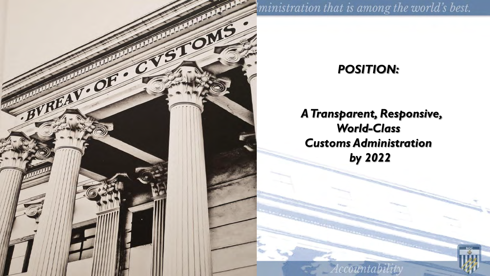

ministration that is among the world's best.

#### *POSITION:*

#### *A Transparent, Responsive, World-Class Customs Administration by 2022*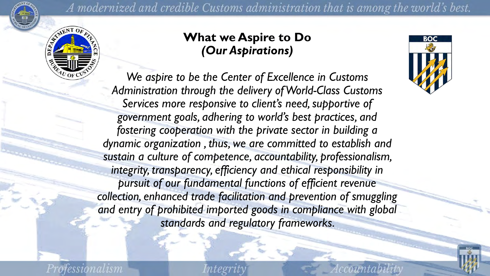



#### **What we Aspire to Do**  *(Our Aspirations)*

*We aspire to be the Center of Excellence in Customs Administration through the delivery of World-Class Customs Services more responsive to client's need, supportive of government goals, adhering to world's best practices, and fostering cooperation with the private sector in building a dynamic organization , thus, we are committed to establish and sustain a culture of competence, accountability, professionalism, integrity, transparency, efficiency and ethical responsibility in pursuit of our fundamental functions of efficient revenue collection, enhanced trade facilitation and prevention of smuggling*  and entry of prohibited imported goods in compliance with global *standards and regulatory frameworks.* 

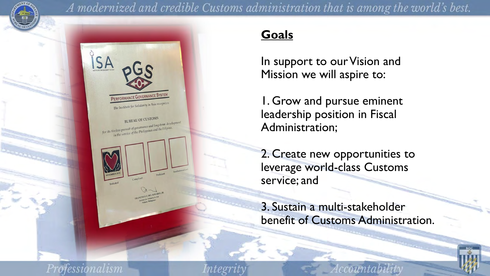



#### **Goals**

In support to our Vision and Mission we will aspire to:

1. Grow and pursue eminent leadership position in Fiscal Administration;

2. Create new opportunities to leverage world-class Customs service; and

3. Sustain a multi-stakeholder benefit of Customs Administration.

nteeri